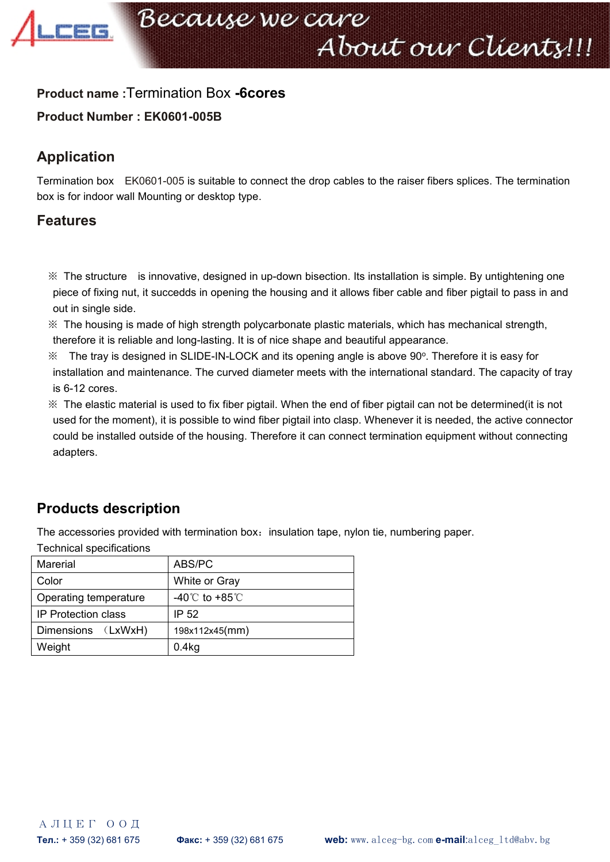

**Product name :**Termination Box **-6cores**

#### **Product Number : EK0601-005B**

## **Application**

Termination box EK0601-005 issuitable to connect the drop cables to the raiser fibers splices. The termination box is for indoor wall Mounting or desktop type.

### **Features**

- ※ The structure is innovative, designed in up-down bisection. Its installation issimple. By untightening one piece of fixing nut, it succedds in opening the housing and it allows fiber cable and fiber pigtail to pass in and out in single side.
- $\%$  The housing is made of high strength polycarbonate plastic materials, which has mechanical strength, therefore it is reliable and long-lasting. It is of nice shape and beautiful appearance.
- <sup>※</sup> The tray is designed in SLIDE-IN-LOCK and its opening angle is above 90°. Therefore it is easy for installation and maintenance. The curved diameter meets with the international standard. The capacity of tray is 6-12 cores.
- ※ The elastic material is used to fix fiber pigtail. When the end of fiber pigtail can not be determined(it is not used for the moment), it is possible to wind fiber pigtail into clasp. Whenever it is needed, the active connector could be installed outside of the housing. Therefore it can connect termination equipment without connecting adapters.

## **Products description**

The accessories provided with termination box: insulation tape, nylon tie, numbering paper.

Technical specifications

| Marerial                   | ABS/PC                             |
|----------------------------|------------------------------------|
| Color                      | White or Gray                      |
| Operating temperature      | -40 $\degree$ C to +85 $\degree$ C |
| <b>IP Protection class</b> | IP 52                              |
| Dimensions (LxWxH)         | 198x112x45(mm)                     |
| Weight                     | 0.4kg                              |